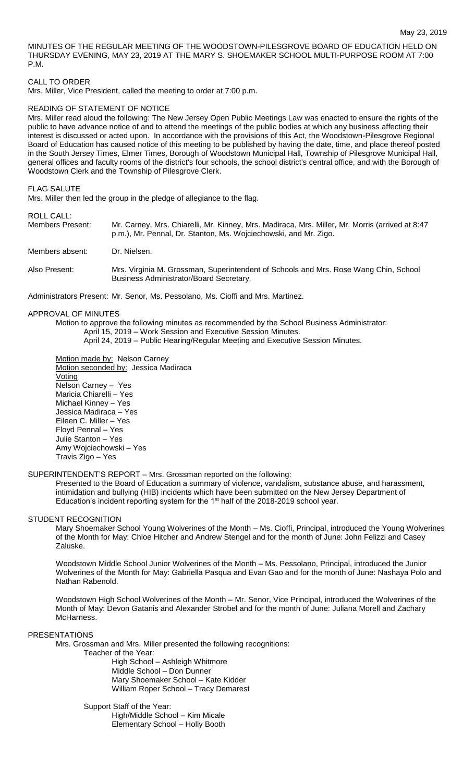MINUTES OF THE REGULAR MEETING OF THE WOODSTOWN-PILESGROVE BOARD OF EDUCATION HELD ON THURSDAY EVENING, MAY 23, 2019 AT THE MARY S. SHOEMAKER SCHOOL MULTI-PURPOSE ROOM AT 7:00 P.M.

#### CALL TO ORDER

Mrs. Miller, Vice President, called the meeting to order at 7:00 p.m.

### READING OF STATEMENT OF NOTICE

Mrs. Miller read aloud the following: The New Jersey Open Public Meetings Law was enacted to ensure the rights of the public to have advance notice of and to attend the meetings of the public bodies at which any business affecting their interest is discussed or acted upon. In accordance with the provisions of this Act, the Woodstown-Pilesgrove Regional Board of Education has caused notice of this meeting to be published by having the date, time, and place thereof posted in the South Jersey Times, Elmer Times, Borough of Woodstown Municipal Hall, Township of Pilesgrove Municipal Hall, general offices and faculty rooms of the district's four schools, the school district's central office, and with the Borough of Woodstown Clerk and the Township of Pilesgrove Clerk.

#### FLAG SALUTE

Mrs. Miller then led the group in the pledge of allegiance to the flag.

### ROLL CALL:

| Members Present: | Mr. Carney, Mrs. Chiarelli, Mr. Kinney, Mrs. Madiraca, Mrs. Miller, Mr. Morris (arrived at 8:47<br>p.m.), Mr. Pennal, Dr. Stanton, Ms. Wojciechowski, and Mr. Zigo. |  |  |  |
|------------------|---------------------------------------------------------------------------------------------------------------------------------------------------------------------|--|--|--|
| Members absent:  | Dr. Nielsen.                                                                                                                                                        |  |  |  |
| Also Present:    | Mrs. Virginia M. Grossman, Superintendent of Schools and Mrs. Rose Wang Chin, School<br>Business Administrator/Board Secretary.                                     |  |  |  |

Administrators Present: Mr. Senor, Ms. Pessolano, Ms. Cioffi and Mrs. Martinez.

APPROVAL OF MINUTES

Motion to approve the following minutes as recommended by the School Business Administrator: April 15, 2019 – Work Session and Executive Session Minutes. April 24, 2019 – Public Hearing/Regular Meeting and Executive Session Minutes.

Motion made by: Nelson Carney Motion seconded by: Jessica Madiraca Voting Nelson Carney – Yes Maricia Chiarelli – Yes Michael Kinney – Yes Jessica Madiraca – Yes Eileen C. Miller – Yes Floyd Pennal – Yes Julie Stanton – Yes Amy Wojciechowski – Yes Travis Zigo – Yes

### SUPERINTENDENT'S REPORT – Mrs. Grossman reported on the following:

Presented to the Board of Education a summary of violence, vandalism, substance abuse, and harassment, intimidation and bullying (HIB) incidents which have been submitted on the New Jersey Department of Education's incident reporting system for the 1<sup>st</sup> half of the 2018-2019 school year.

### STUDENT RECOGNITION

Mary Shoemaker School Young Wolverines of the Month – Ms. Cioffi, Principal, introduced the Young Wolverines of the Month for May: Chloe Hitcher and Andrew Stengel and for the month of June: John Felizzi and Casey Zaluske.

Woodstown Middle School Junior Wolverines of the Month – Ms. Pessolano, Principal, introduced the Junior Wolverines of the Month for May: Gabriella Pasqua and Evan Gao and for the month of June: Nashaya Polo and Nathan Rabenold.

Woodstown High School Wolverines of the Month – Mr. Senor, Vice Principal, introduced the Wolverines of the Month of May: Devon Gatanis and Alexander Strobel and for the month of June: Juliana Morell and Zachary McHarness.

### **PRESENTATIONS**

Mrs. Grossman and Mrs. Miller presented the following recognitions:

Teacher of the Year:

High School – Ashleigh Whitmore Middle School – Don Dunner Mary Shoemaker School – Kate Kidder William Roper School – Tracy Demarest

Support Staff of the Year: High/Middle School – Kim Micale Elementary School – Holly Booth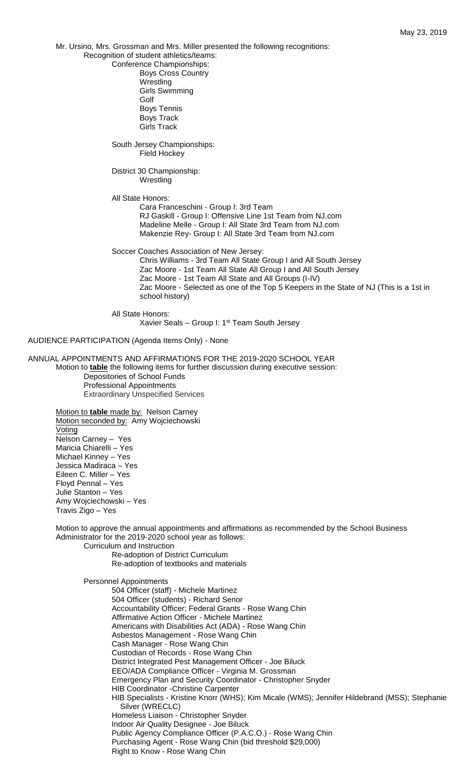Mr. Ursino, Mrs. Grossman and Mrs. Miller presented the following recognitions:

Recognition of student athletics/teams:

Conference Championships: Boys Cross Country Wrestling Girls Swimming

Golf Boys Tennis Boys Track Girls Track

South Jersey Championships: Field Hockey

District 30 Championship: **Wrestling** 

All State Honors:

Cara Franceschini - Group I: 3rd Team RJ Gaskill - Group I: Offensive Line 1st Team from NJ.com Madeline Melle - Group I: All State 3rd Team from NJ.com Makenzie Rey- Group I: All State 3rd Team from NJ.com

Soccer Coaches Association of New Jersey:

Chris Williams - 3rd Team All State Group I and All South Jersey Zac Moore - 1st Team All State All Group I and All South Jersey Zac Moore - 1st Team All State and All Groups (I-IV) Zac Moore - Selected as one of the Top 5 Keepers in the State of NJ (This is a 1st in school history)

All State Honors: Xavier Seals – Group I: 1st Team South Jersey

AUDIENCE PARTICIPATION (Agenda Items Only) - None

ANNUAL APPOINTMENTS AND AFFIRMATIONS FOR THE 2019-2020 SCHOOL YEAR Motion to **table** the following items for further discussion during executive session: Depositories of School Funds Professional Appointments Extraordinary Unspecified Services

Motion to **table** made by: Nelson Carney Motion seconded by: Amy Wojciechowski Voting Nelson Carney – Yes Maricia Chiarelli – Yes Michael Kinney – Yes Jessica Madiraca – Yes Eileen C. Miller – Yes Floyd Pennal – Yes Julie Stanton – Yes Amy Wojciechowski – Yes Travis Zigo – Yes

Motion to approve the annual appointments and affirmations as recommended by the School Business Administrator for the 2019-2020 school year as follows:

Curriculum and Instruction Re-adoption of District Curriculum Re-adoption of textbooks and materials

Personnel Appointments

504 Officer (staff) - Michele Martinez 504 Officer (students) - Richard Senor Accountability Officer; Federal Grants - Rose Wang Chin Affirmative Action Officer - Michele Martinez Americans with Disabilities Act (ADA) - Rose Wang Chin Asbestos Management - Rose Wang Chin Cash Manager - Rose Wang Chin Custodian of Records - Rose Wang Chin District Integrated Pest Management Officer - Joe Biluck EEO/ADA Compliance Officer - Virginia M. Grossman Emergency Plan and Security Coordinator - Christopher Snyder HIB Coordinator -Christine Carpenter HIB Specialists - Kristine Knorr (WHS); Kim Micale (WMS); Jennifer Hildebrand (MSS); Stephanie Silver (WRECLC) Homeless Liaison - Christopher Snyder Indoor Air Quality Designee - Joe Biluck Public Agency Compliance Officer (P.A.C.O.) - Rose Wang Chin Purchasing Agent - Rose Wang Chin (bid threshold \$29,000) Right to Know - Rose Wang Chin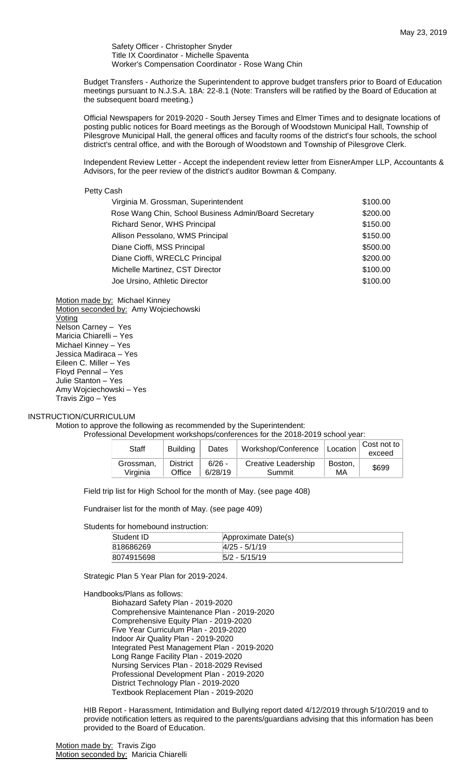Safety Officer - Christopher Snyder Title IX Coordinator - Michelle Spaventa Worker's Compensation Coordinator - Rose Wang Chin

Budget Transfers - Authorize the Superintendent to approve budget transfers prior to Board of Education meetings pursuant to N.J.S.A. 18A: 22-8.1 (Note: Transfers will be ratified by the Board of Education at the subsequent board meeting.)

Official Newspapers for 2019-2020 - South Jersey Times and Elmer Times and to designate locations of posting public notices for Board meetings as the Borough of Woodstown Municipal Hall, Township of Pilesgrove Municipal Hall, the general offices and faculty rooms of the district's four schools, the school district's central office, and with the Borough of Woodstown and Township of Pilesgrove Clerk.

Independent Review Letter - Accept the independent review letter from EisnerAmper LLP, Accountants & Advisors, for the peer review of the district's auditor Bowman & Company.

### Petty Cash

| Virginia M. Grossman, Superintendent                  | \$100.00 |
|-------------------------------------------------------|----------|
| Rose Wang Chin, School Business Admin/Board Secretary | \$200.00 |
| <b>Richard Senor, WHS Principal</b>                   | \$150.00 |
| Allison Pessolano, WMS Principal                      | \$150.00 |
| Diane Cioffi, MSS Principal                           | \$500.00 |
| Diane Cioffi, WRECLC Principal                        | \$200.00 |
| Michelle Martinez, CST Director                       | \$100.00 |
| Joe Ursino, Athletic Director                         | \$100.00 |
|                                                       |          |

Motion made by: Michael Kinney Motion seconded by: Amy Wojciechowski Voting Nelson Carney – Yes Maricia Chiarelli – Yes Michael Kinney – Yes Jessica Madiraca – Yes Eileen C. Miller – Yes Floyd Pennal – Yes Julie Stanton – Yes Amy Wojciechowski – Yes Travis Zigo – Yes

### INSTRUCTION/CURRICULUM

Motion to approve the following as recommended by the Superintendent:

Professional Development workshops/conferences for the 2018-2019 school year:

| Staff                 | <b>Building</b>           | Dates               | Workshop/Conference   Location |               | Cost not to<br>exceed |
|-----------------------|---------------------------|---------------------|--------------------------------|---------------|-----------------------|
| Grossman.<br>Virginia | <b>District</b><br>Office | $6/26 -$<br>6/28/19 | Creative Leadership<br>Summit  | Boston,<br>МA | \$699                 |

Field trip list for High School for the month of May. (see page 408)

Fundraiser list for the month of May. (see page 409)

Students for homebound instruction:

| Student ID | Approximate Date(s) |  |
|------------|---------------------|--|
| 818686269  | $ 4/25 - 5/1/19 $   |  |
| 8074915698 | $ 5/2 - 5/15/19 $   |  |

Strategic Plan 5 Year Plan for 2019-2024.

Handbooks/Plans as follows:

Biohazard Safety Plan - 2019-2020 Comprehensive Maintenance Plan - 2019-2020 Comprehensive Equity Plan - 2019-2020 Five Year Curriculum Plan - 2019-2020 Indoor Air Quality Plan - 2019-2020 Integrated Pest Management Plan - 2019-2020 Long Range Facility Plan - 2019-2020 Nursing Services Plan - 2018-2029 Revised Professional Development Plan - 2019-2020 District Technology Plan - 2019-2020 Textbook Replacement Plan - 2019-2020

HIB Report - Harassment, Intimidation and Bullying report dated 4/12/2019 through 5/10/2019 and to provide notification letters as required to the parents/guardians advising that this information has been provided to the Board of Education.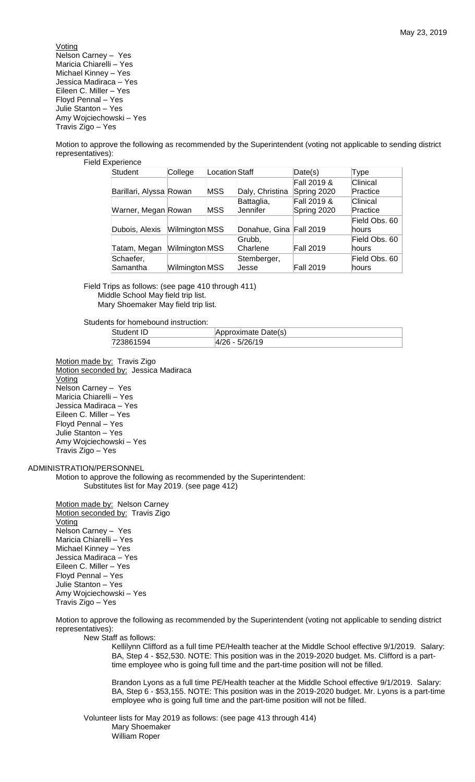**Voting** Nelson Carney – Yes Maricia Chiarelli – Yes Michael Kinney – Yes Jessica Madiraca – Yes Eileen C. Miller – Yes Floyd Pennal – Yes Julie Stanton – Yes Amy Wojciechowski – Yes Travis Zigo – Yes

Motion to approve the following as recommended by the Superintendent (voting not applicable to sending district representatives): Field Experience

| Student                 | College        | <b>Location Staff</b> |                         | Date(s)                    | Type                   |
|-------------------------|----------------|-----------------------|-------------------------|----------------------------|------------------------|
| Barillari, Alyssa Rowan |                | MSS                   | Daly, Christina         | Fall 2019 &<br>Spring 2020 | Clinical<br>Practice   |
| Warner, Megan Rowan     |                | MSS                   | Battaglia,<br>Jennifer  | Fall 2019 &<br>Spring 2020 | Clinical<br>Practice   |
| Dubois, Alexis          | Wilmington MSS |                       | Donahue, Gina Fall 2019 |                            | Field Obs. 60<br>hours |
| Tatam, Megan            | Wilmington MSS |                       | Grubb,<br>Charlene      | <b>Fall 2019</b>           | Field Obs. 60<br>hours |
| Schaefer,<br>Samantha   | Wilmington MSS |                       | Stemberger,<br>Jesse    | <b>Fall 2019</b>           | Field Obs. 60<br>hours |

Field Trips as follows: (see page 410 through 411) Middle School May field trip list. Mary Shoemaker May field trip list.

Students for homebound instruction:

| Student ID | Approximate Date(s) |
|------------|---------------------|
| 723861594  | $ 4/26 - 5/26/19 $  |

Motion made by: Travis Zigo Motion seconded by: Jessica Madiraca Voting Nelson Carney – Yes Maricia Chiarelli – Yes Jessica Madiraca – Yes Eileen C. Miller – Yes Floyd Pennal – Yes Julie Stanton – Yes Amy Wojciechowski – Yes Travis Zigo – Yes

### ADMINISTRATION/PERSONNEL

Motion to approve the following as recommended by the Superintendent: Substitutes list for May 2019. (see page 412)

Motion made by: Nelson Carney Motion seconded by: Travis Zigo Voting Nelson Carney – Yes Maricia Chiarelli – Yes Michael Kinney – Yes Jessica Madiraca – Yes Eileen C. Miller – Yes Floyd Pennal – Yes Julie Stanton – Yes Amy Wojciechowski – Yes Travis Zigo – Yes

Motion to approve the following as recommended by the Superintendent (voting not applicable to sending district representatives):

New Staff as follows:

Kellilynn Clifford as a full time PE/Health teacher at the Middle School effective 9/1/2019. Salary: BA, Step 4 - \$52,530. NOTE: This position was in the 2019-2020 budget. Ms. Clifford is a parttime employee who is going full time and the part-time position will not be filled.

Brandon Lyons as a full time PE/Health teacher at the Middle School effective 9/1/2019. Salary: BA, Step 6 - \$53,155. NOTE: This position was in the 2019-2020 budget. Mr. Lyons is a part-time employee who is going full time and the part-time position will not be filled.

Volunteer lists for May 2019 as follows: (see page 413 through 414) Mary Shoemaker William Roper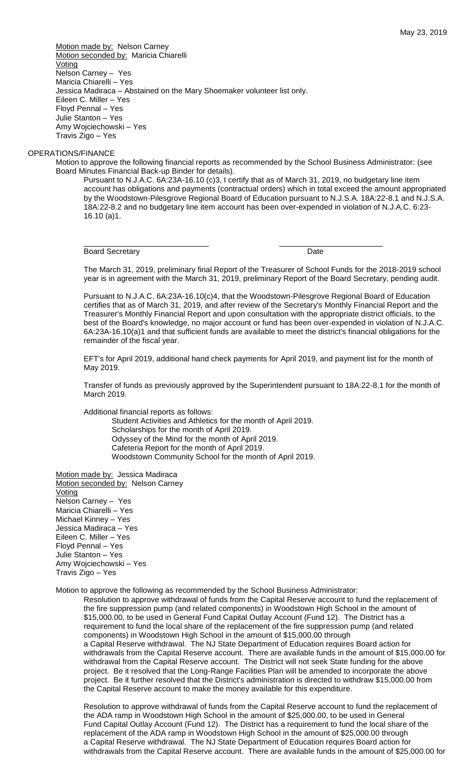Motion made by: Nelson Carney Motion seconded by: Maricia Chiarelli **Voting** Nelson Carney – Yes Maricia Chiarelli – Yes Jessica Madiraca – Abstained on the Mary Shoemaker volunteer list only. Eileen C. Miller – Yes Floyd Pennal – Yes Julie Stanton – Yes Amy Wojciechowski – Yes Travis Zigo – Yes

### OPERATIONS/FINANCE

Motion to approve the following financial reports as recommended by the School Business Administrator: (see Board Minutes Financial Back-up Binder for details).

\_\_\_\_\_\_\_\_\_\_\_\_\_\_\_\_\_\_\_\_\_\_\_\_\_\_\_\_\_ \_\_\_\_\_\_\_\_\_\_\_\_\_\_\_\_\_\_\_\_\_\_\_\_

Pursuant to N.J.A.C. 6A:23A-16.10 (c)3, I certify that as of March 31, 2019, no budgetary line item account has obligations and payments (contractual orders) which in total exceed the amount appropriated by the Woodstown-Pilesgrove Regional Board of Education pursuant to N.J.S.A. 18A:22-8.1 and N.J.S.A. 18A:22-8.2 and no budgetary line item account has been over-expended in violation of N.J.A.C. 6:23- 16.10 (a)1.

Board Secretary **Date** 

The March 31, 2019, preliminary final Report of the Treasurer of School Funds for the 2018-2019 school year is in agreement with the March 31, 2019, preliminary Report of the Board Secretary, pending audit.

Pursuant to N.J.A.C. 6A:23A-16.10(c)4, that the Woodstown-Pilesgrove Regional Board of Education certifies that as of March 31, 2019, and after review of the Secretary's Monthly Financial Report and the Treasurer's Monthly Financial Report and upon consultation with the appropriate district officials, to the best of the Board's knowledge, no major account or fund has been over-expended in violation of N.J.A.C. 6A:23A-16.10(a)1 and that sufficient funds are available to meet the district's financial obligations for the remainder of the fiscal year.

EFT's for April 2019, additional hand check payments for April 2019, and payment list for the month of May 2019.

Transfer of funds as previously approved by the Superintendent pursuant to 18A:22-8.1 for the month of March 2019.

Additional financial reports as follows:

Student Activities and Athletics for the month of April 2019. Scholarships for the month of April 2019. Odyssey of the Mind for the month of April 2019. Cafeteria Report for the month of April 2019. Woodstown Community School for the month of April 2019.

Motion made by: Jessica Madiraca Motion seconded by: Nelson Carney **Voting** Nelson Carney – Yes Maricia Chiarelli – Yes Michael Kinney – Yes Jessica Madiraca – Yes Eileen C. Miller – Yes Floyd Pennal – Yes Julie Stanton – Yes Amy Wojciechowski – Yes Travis Zigo – Yes

Motion to approve the following as recommended by the School Business Administrator:

Resolution to approve withdrawal of funds from the Capital Reserve account to fund the replacement of the fire suppression pump (and related components) in Woodstown High School in the amount of \$15,000.00, to be used in General Fund Capital Outlay Account (Fund 12). The District has a requirement to fund the local share of the replacement of the fire suppression pump (and related components) in Woodstown High School in the amount of \$15,000.00 through a Capital Reserve withdrawal. The NJ State Department of Education requires Board action for withdrawals from the Capital Reserve account. There are available funds in the amount of \$15,000.00 for withdrawal from the Capital Reserve account. The District will not seek State funding for the above project. Be it resolved that the Long-Range Facilities Plan will be amended to incorporate the above project. Be it further resolved that the District's administration is directed to withdraw \$15,000.00 from the Capital Reserve account to make the money available for this expenditure.

Resolution to approve withdrawal of funds from the Capital Reserve account to fund the replacement of the ADA ramp in Woodstown High School in the amount of \$25,000.00, to be used in General Fund Capital Outlay Account (Fund 12). The District has a requirement to fund the local share of the replacement of the ADA ramp in Woodstown High School in the amount of \$25,000.00 through a Capital Reserve withdrawal. The NJ State Department of Education requires Board action for withdrawals from the Capital Reserve account. There are available funds in the amount of \$25,000.00 for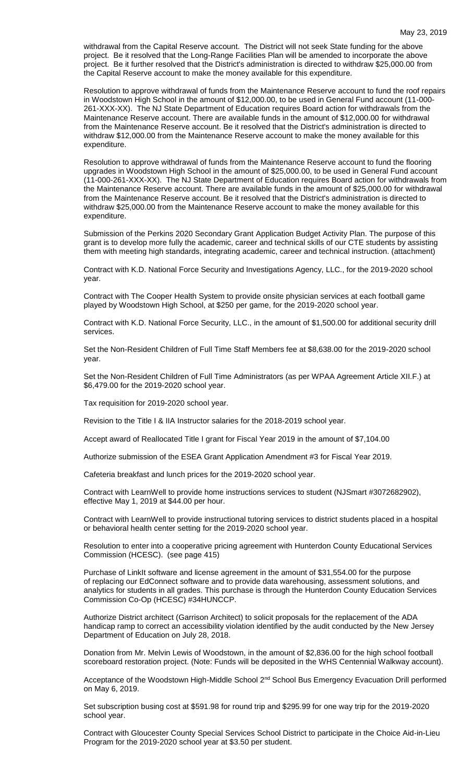withdrawal from the Capital Reserve account. The District will not seek State funding for the above project. Be it resolved that the Long-Range Facilities Plan will be amended to incorporate the above project. Be it further resolved that the District's administration is directed to withdraw \$25,000.00 from the Capital Reserve account to make the money available for this expenditure.

Resolution to approve withdrawal of funds from the Maintenance Reserve account to fund the roof repairs in Woodstown High School in the amount of \$12,000.00, to be used in General Fund account (11-000- 261-XXX-XX). The NJ State Department of Education requires Board action for withdrawals from the Maintenance Reserve account. There are available funds in the amount of \$12,000.00 for withdrawal from the Maintenance Reserve account. Be it resolved that the District's administration is directed to withdraw \$12,000.00 from the Maintenance Reserve account to make the money available for this expenditure.

Resolution to approve withdrawal of funds from the Maintenance Reserve account to fund the flooring upgrades in Woodstown High School in the amount of \$25,000.00, to be used in General Fund account (11-000-261-XXX-XX). The NJ State Department of Education requires Board action for withdrawals from the Maintenance Reserve account. There are available funds in the amount of \$25,000.00 for withdrawal from the Maintenance Reserve account. Be it resolved that the District's administration is directed to withdraw \$25,000.00 from the Maintenance Reserve account to make the money available for this expenditure.

Submission of the Perkins 2020 Secondary Grant Application Budget Activity Plan. The purpose of this grant is to develop more fully the academic, career and technical skills of our CTE students by assisting them with meeting high standards, integrating academic, career and technical instruction. (attachment)

Contract with K.D. National Force Security and Investigations Agency, LLC., for the 2019-2020 school year.

Contract with The Cooper Health System to provide onsite physician services at each football game played by Woodstown High School, at \$250 per game, for the 2019-2020 school year.

Contract with K.D. National Force Security, LLC., in the amount of \$1,500.00 for additional security drill services.

Set the Non-Resident Children of Full Time Staff Members fee at \$8,638.00 for the 2019-2020 school year.

Set the Non-Resident Children of Full Time Administrators (as per WPAA Agreement Article XII.F.) at \$6,479.00 for the 2019-2020 school year.

Tax requisition for 2019-2020 school year.

Revision to the Title I & IIA Instructor salaries for the 2018-2019 school year.

Accept award of Reallocated Title I grant for Fiscal Year 2019 in the amount of \$7,104.00

Authorize submission of the ESEA Grant Application Amendment #3 for Fiscal Year 2019.

Cafeteria breakfast and lunch prices for the 2019-2020 school year.

Contract with LearnWell to provide home instructions services to student (NJSmart #3072682902), effective May 1, 2019 at \$44.00 per hour.

Contract with LearnWell to provide instructional tutoring services to district students placed in a hospital or behavioral health center setting for the 2019-2020 school year.

Resolution to enter into a cooperative pricing agreement with Hunterdon County Educational Services Commission (HCESC). (see page 415)

Purchase of LinkIt software and license agreement in the amount of \$31,554.00 for the purpose of replacing our EdConnect software and to provide data warehousing, assessment solutions, and analytics for students in all grades. This purchase is through the Hunterdon County Education Services Commission Co-Op (HCESC) #34HUNCCP.

Authorize District architect (Garrison Architect) to solicit proposals for the replacement of the ADA handicap ramp to correct an accessibility violation identified by the audit conducted by the New Jersey Department of Education on July 28, 2018.

Donation from Mr. Melvin Lewis of Woodstown, in the amount of \$2,836.00 for the high school football scoreboard restoration project. (Note: Funds will be deposited in the WHS Centennial Walkway account).

Acceptance of the Woodstown High-Middle School 2<sup>nd</sup> School Bus Emergency Evacuation Drill performed on May 6, 2019.

Set subscription busing cost at \$591.98 for round trip and \$295.99 for one way trip for the 2019-2020 school year.

Contract with Gloucester County Special Services School District to participate in the Choice Aid-in-Lieu Program for the 2019-2020 school year at \$3.50 per student.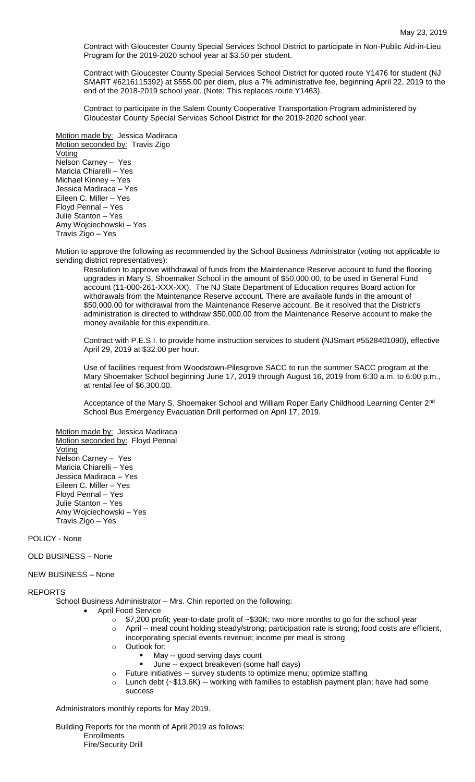Contract with Gloucester County Special Services School District to participate in Non-Public Aid-in-Lieu Program for the 2019-2020 school year at \$3.50 per student.

Contract with Gloucester County Special Services School District for quoted route Y1476 for student (NJ SMART #6216115392) at \$555.00 per diem, plus a 7% administrative fee, beginning April 22, 2019 to the end of the 2018-2019 school year. (Note: This replaces route Y1463).

Contract to participate in the Salem County Cooperative Transportation Program administered by Gloucester County Special Services School District for the 2019-2020 school year.

Motion made by: Jessica Madiraca Motion seconded by: Travis Zigo Voting Nelson Carney – Yes Maricia Chiarelli – Yes Michael Kinney – Yes Jessica Madiraca – Yes Eileen C. Miller – Yes Floyd Pennal – Yes Julie Stanton – Yes Amy Wojciechowski – Yes Travis Zigo – Yes

Motion to approve the following as recommended by the School Business Administrator (voting not applicable to sending district representatives):

Resolution to approve withdrawal of funds from the Maintenance Reserve account to fund the flooring upgrades in Mary S. Shoemaker School in the amount of \$50,000.00, to be used in General Fund account (11-000-261-XXX-XX). The NJ State Department of Education requires Board action for withdrawals from the Maintenance Reserve account. There are available funds in the amount of \$50,000.00 for withdrawal from the Maintenance Reserve account. Be it resolved that the District's administration is directed to withdraw \$50,000.00 from the Maintenance Reserve account to make the money available for this expenditure.

Contract with P.E.S.I. to provide home instruction services to student (NJSmart #5528401090), effective April 29, 2019 at \$32.00 per hour.

Use of facilities request from Woodstown-Pilesgrove SACC to run the summer SACC program at the Mary Shoemaker School beginning June 17, 2019 through August 16, 2019 from 6:30 a.m. to 6:00 p.m., at rental fee of \$6,300.00.

Acceptance of the Mary S. Shoemaker School and William Roper Early Childhood Learning Center 2<sup>nd</sup> School Bus Emergency Evacuation Drill performed on April 17, 2019.

Motion made by: Jessica Madiraca Motion seconded by: Floyd Pennal Voting Nelson Carney – Yes Maricia Chiarelli – Yes Jessica Madiraca – Yes Eileen C. Miller – Yes Floyd Pennal – Yes Julie Stanton – Yes Amy Wojciechowski – Yes Travis Zigo – Yes

POLICY - None

OLD BUSINESS – None

### NEW BUSINESS – None

## REPORTS

School Business Administrator – Mrs. Chin reported on the following:

- April Food Service
	- o \$7,200 profit; year-to-date profit of ~\$30K; two more months to go for the school year
	- o April -- meal count holding steady/strong; participation rate is strong; food costs are efficient,
	- incorporating special events revenue; income per meal is strong
	- o Outlook for:
		- May -- good serving days count
		- June -- expect breakeven (some half days)
	- o Future initiatives -- survey students to optimize menu; optimize staffing
	- $\circ$  Lunch debt (~\$13.6K) -- working with families to establish payment plan; have had some success

Administrators monthly reports for May 2019.

Building Reports for the month of April 2019 as follows: **Enrollments** Fire/Security Drill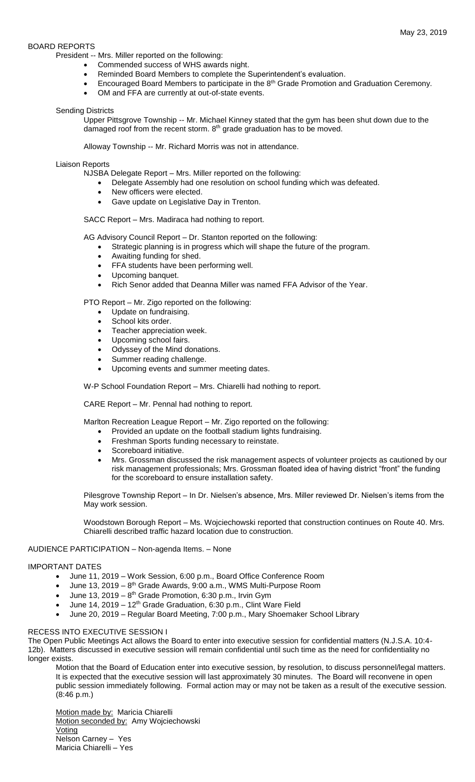## BOARD REPORTS

President -- Mrs. Miller reported on the following:

- Commended success of WHS awards night.
- Reminded Board Members to complete the Superintendent's evaluation.
- Encouraged Board Members to participate in the 8<sup>th</sup> Grade Promotion and Graduation Ceremony.
- OM and FFA are currently at out-of-state events.

### Sending Districts

Upper Pittsgrove Township -- Mr. Michael Kinney stated that the gym has been shut down due to the damaged roof from the recent storm.  $8<sup>th</sup>$  grade graduation has to be moved.

Alloway Township -- Mr. Richard Morris was not in attendance.

## Liaison Reports

NJSBA Delegate Report – Mrs. Miller reported on the following:

- Delegate Assembly had one resolution on school funding which was defeated.
- New officers were elected.
- Gave update on Legislative Day in Trenton.

SACC Report – Mrs. Madiraca had nothing to report.

AG Advisory Council Report – Dr. Stanton reported on the following:

- Strategic planning is in progress which will shape the future of the program.
- Awaiting funding for shed.
- **•** FFA students have been performing well.
- Upcoming banquet.
- Rich Senor added that Deanna Miller was named FFA Advisor of the Year.

PTO Report – Mr. Zigo reported on the following:

- Update on fundraising.
- School kits order.
- Teacher appreciation week.
- Upcoming school fairs.
- Odyssey of the Mind donations.
- Summer reading challenge.
- Upcoming events and summer meeting dates.

W-P School Foundation Report – Mrs. Chiarelli had nothing to report.

CARE Report – Mr. Pennal had nothing to report.

Marlton Recreation League Report – Mr. Zigo reported on the following:

- Provided an update on the football stadium lights fundraising.
	- Freshman Sports funding necessary to reinstate.
	- Scoreboard initiative.
- Mrs. Grossman discussed the risk management aspects of volunteer projects as cautioned by our risk management professionals; Mrs. Grossman floated idea of having district "front" the funding for the scoreboard to ensure installation safety.

Pilesgrove Township Report – In Dr. Nielsen's absence, Mrs. Miller reviewed Dr. Nielsen's items from the May work session.

Woodstown Borough Report – Ms. Wojciechowski reported that construction continues on Route 40. Mrs. Chiarelli described traffic hazard location due to construction.

# AUDIENCE PARTICIPATION – Non-agenda Items. – None

### IMPORTANT DATES

- June 11, 2019 Work Session, 6:00 p.m., Board Office Conference Room
- $\bullet$  June 13, 2019 8<sup>th</sup> Grade Awards, 9:00 a.m., WMS Multi-Purpose Room
- $\bullet$  June 13, 2019 8<sup>th</sup> Grade Promotion, 6:30 p.m., Irvin Gym
- June 14, 2019 12<sup>th</sup> Grade Graduation, 6:30 p.m., Clint Ware Field
- June 20, 2019 Regular Board Meeting, 7:00 p.m., Mary Shoemaker School Library

## RECESS INTO EXECUTIVE SESSION I

The Open Public Meetings Act allows the Board to enter into executive session for confidential matters (N.J.S.A. 10:4- 12b). Matters discussed in executive session will remain confidential until such time as the need for confidentiality no longer exists.

Motion that the Board of Education enter into executive session, by resolution, to discuss personnel/legal matters. It is expected that the executive session will last approximately 30 minutes. The Board will reconvene in open public session immediately following. Formal action may or may not be taken as a result of the executive session. (8:46 p.m.)

Motion made by: Maricia Chiarelli Motion seconded by: Amy Wojciechowski Voting Nelson Carney – Yes Maricia Chiarelli – Yes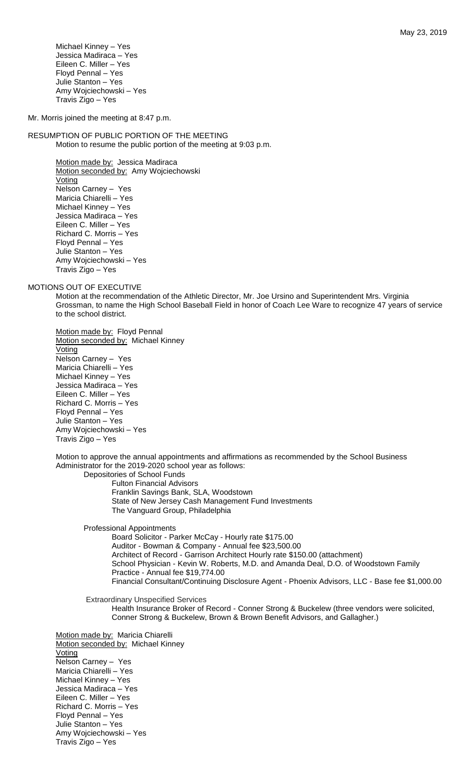Michael Kinney – Yes Jessica Madiraca – Yes Eileen C. Miller – Yes Floyd Pennal – Yes Julie Stanton – Yes Amy Wojciechowski – Yes Travis Zigo – Yes

Mr. Morris joined the meeting at 8:47 p.m.

### RESUMPTION OF PUBLIC PORTION OF THE MEETING Motion to resume the public portion of the meeting at 9:03 p.m.

Motion made by: Jessica Madiraca Motion seconded by: Amy Wojciechowski Voting Nelson Carney – Yes Maricia Chiarelli – Yes Michael Kinney – Yes Jessica Madiraca – Yes Eileen C. Miller – Yes Richard C. Morris – Yes Floyd Pennal – Yes Julie Stanton – Yes Amy Wojciechowski – Yes Travis Zigo – Yes

### MOTIONS OUT OF EXECUTIVE

Motion at the recommendation of the Athletic Director, Mr. Joe Ursino and Superintendent Mrs. Virginia Grossman, to name the High School Baseball Field in honor of Coach Lee Ware to recognize 47 years of service to the school district.

Motion made by: Floyd Pennal Motion seconded by: Michael Kinney Voting Nelson Carney – Yes Maricia Chiarelli – Yes Michael Kinney – Yes Jessica Madiraca – Yes Eileen C. Miller – Yes Richard C. Morris – Yes Floyd Pennal – Yes Julie Stanton – Yes Amy Wojciechowski – Yes Travis Zigo – Yes

Motion to approve the annual appointments and affirmations as recommended by the School Business Administrator for the 2019-2020 school year as follows: Depositories of School Funds

Fulton Financial Advisors Franklin Savings Bank, SLA, Woodstown State of New Jersey Cash Management Fund Investments The Vanguard Group, Philadelphia

Professional Appointments

Board Solicitor - Parker McCay - Hourly rate \$175.00 Auditor - Bowman & Company - Annual fee \$23,500.00 Architect of Record - Garrison Architect Hourly rate \$150.00 (attachment) School Physician - Kevin W. Roberts, M.D. and Amanda Deal, D.O. of Woodstown Family Practice - Annual fee \$19,774.00 Financial Consultant/Continuing Disclosure Agent - Phoenix Advisors, LLC - Base fee \$1,000.00

Extraordinary Unspecified Services

Health Insurance Broker of Record - Conner Strong & Buckelew (three vendors were solicited, Conner Strong & Buckelew, Brown & Brown Benefit Advisors, and Gallagher.)

Motion made by: Maricia Chiarelli Motion seconded by: Michael Kinney **Voting** Nelson Carney – Yes Maricia Chiarelli – Yes Michael Kinney – Yes Jessica Madiraca – Yes Eileen C. Miller – Yes Richard C. Morris – Yes Floyd Pennal – Yes Julie Stanton – Yes Amy Wojciechowski – Yes Travis Zigo – Yes